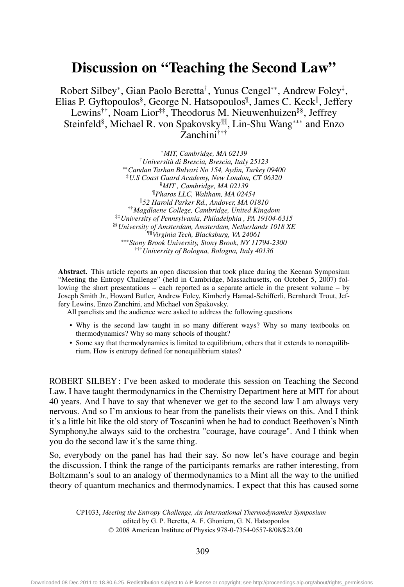## Discussion on "Teaching the Second Law"

Robert Silbey<sup>∗</sup>, Gian Paolo Beretta<sup>†</sup>, Yunus Cengel<sup>∗∗</sup>, Andrew Foley<sup>‡</sup>, Elias P. Gyftopoulos<sup>§</sup>, George N. Hatsopoulos<sup>¶</sup>, James C. Keck<sup>||</sup>, Jeffery Lewins<sup>††</sup>, Noam Lior<sup>‡‡</sup>, Theodorus M. Nieuwenhuizen<sup>§§</sup>, Jeffrey Steinfeld<sup>§</sup>, Michael R. von Spakovsky<sup>¶</sup>, Lin-Shu Wang<sup>∗∗∗</sup> and Enzo Zanchini†††

> <sup>∗</sup>*MIT, Cambridge, MA 02139* †*Università di Brescia, Brescia, Italy 25123* ∗∗*Candan Tarhan Bulvari No 154, Aydin, Turkey 09400* ‡*U.S Coast Guard Academy, New London, CT 06320* §*MIT , Cambridge, MA 02139* ¶*Pharos LLC, Waltham, MA 02454* /*52 Harold Parker Rd., Andover, MA 01810* ††*Magdlaene College, Cambridge, United Kingdom* ‡‡*University of Pennsylvania, Philadelphia , PA 19104-6315* §§*University of Amsterdam, Amsterdam, Netherlands 1018 XE* ¶¶*Virginia Tech, Blacksburg, VA 24061* ∗∗∗*Stony Brook University, Stony Brook, NY 11794-2300* †††*University of Bologna, Bologna, Italy 40136*

Abstract. This article reports an open discussion that took place during the Keenan Symposium "Meeting the Entropy Challenge" (held in Cambridge, Massachusetts, on October 5, 2007) following the short presentations – each reported as a separate article in the present volume – by Joseph Smith Jr., Howard Butler, Andrew Foley, Kimberly Hamad-Schifferli, Bernhardt Trout, Jeffery Lewins, Enzo Zanchini, and Michael von Spakovsky.

All panelists and the audience were asked to address the following questions

- Why is the second law taught in so many different ways? Why so many textbooks on thermodynamics? Why so many schools of thought?
- Some say that thermodynamics is limited to equilibrium, others that it extends to nonequilibrium. How is entropy defined for nonequilibrium states?

ROBERT SILBEY : I've been asked to moderate this session on Teaching the Second Law. I have taught thermodynamics in the Chemistry Department here at MIT for about 40 years. And I have to say that whenever we get to the second lawIam always very nervous. And so I'm anxious to hear from the panelists their views on this. And I think it'salittle bit like the old story of Toscanini when he had to conduct Beethoven's Ninth Symphony,he always said to the orchestra "courage, have courage". And I think when you do the second law it's the same thing.

So, everybody on the panel has had their say. So now let's have courage and begin the discussion. I think the range of the participants remarks are rather interesting, from Boltzmann's soul to an analogy of thermodynamics to a Mint all the way to the unified theory of quantum mechanics and thermodynamics. I expect that this has caused some

CP1033, *Meeting the Entropy Challenge, An International Thermodynamics Symposium* edited by G. P. Beretta, A. F. Ghoniem, G. N. Hatsopoulos © 2008 American Institute of Physics 978-0-7354-0557-8/08/\$23.00

309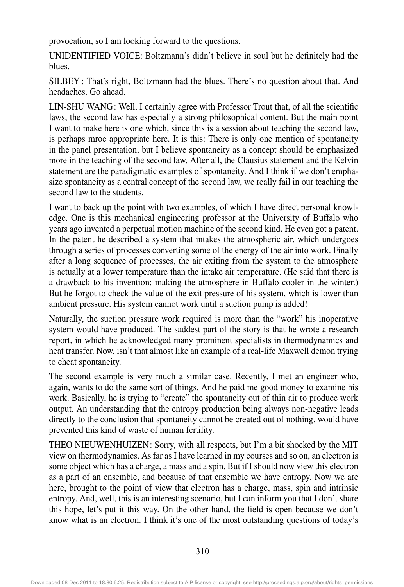provocation, so I am looking forward to the questions.

UNIDENTIFIED VOICE: Boltzmann's didn't believe in soul but he definitely had the blues.

SILBEY : That's right, Boltzmann had the blues. There's no question about that. And headaches. Go ahead.

LIN-SHU WANG: Well, I certainly agree with Professor Trout that, of all the scientific laws, the second law has especially a strong philosophical content. But the main point I want to make here is one which, since this is a session about teaching the second law, is perhaps mroe appropriate here. It is this: There is only one mention of spontaneity in the panel presentation, but I believe spontaneity as a concept should be emphasized more in the teaching of the second law. After all, the Clausius statement and the Kelvin statement are the paradigmatic examples of spontaneity. And I think if we don't emphasize spontaneity as a central concept of the second law, we really fail in our teaching the second law to the students.

I want to back up the point with two examples, of which I have direct personal knowledge. One is this mechanical engineering professor at the University of Buffalo who years ago invented a perpetual motion machine of the second kind. He even got a patent. In the patent he described a system that intakes the atmospheric air, which undergoes through a series of processes converting some of the energy of the air into work. Finally after a long sequence of processes, the air exiting from the system to the atmosphere is actually at a lower temperature than the intake air temperature. (He said that there is a drawback to his invention: making the atmosphere in Buffalo cooler in the winter.) But he forgot to check the value of the exit pressure of his system, which is lower than ambient pressure. His system cannot work until a suction pump is added!

Naturally, the suction pressure work required is more than the "work" his inoperative system would have produced. The saddest part of the story is that he wrote a research report, in which he acknowledged many prominent specialists in thermodynamics and heat transfer. Now, isn't that almost like an example of a real-life Maxwell demon trying to cheat spontaneity.

The second example is very much a similar case. Recently, I met an engineer who, again, wants to do the same sort of things. And he paid me good money to examine his work. Basically, he is trying to "create" the spontaneity out of thin air to produce work output. An understanding that the entropy production being always non-negative leads directly to the conclusion that spontaneity cannot be created out of nothing, would have prevented this kind of waste of human fertility.

THEO NIEUWENHUIZEN: Sorry, with all respects, but I'm a bit shocked by the MIT view on thermodynamics. As far asIhave learned in my courses and so on, an electron is some object which has a charge, a mass and a spin. But if I should now view this electron as a part of an ensemble, and because of that ensemble we have entropy. Now we are here, brought to the point of view that electron has a charge, mass, spin and intrinsic entropy. And, well, this is an interesting scenario, but I can inform you that I don't share this hope, let's put it this way. On the other hand, the field is open because we don't know what is an electron. I think it's one of the most outstanding questions of today's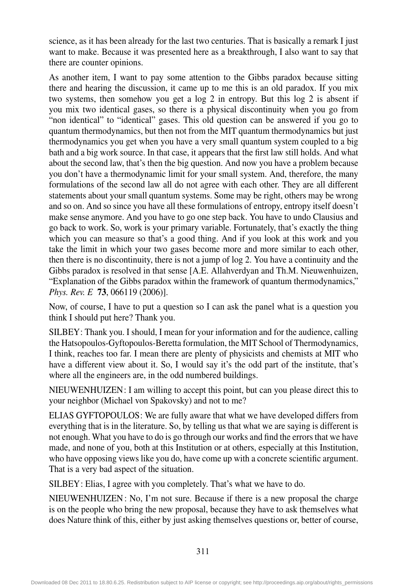science, as it has been already for the last two centuries. That is basically a remark I just want to make. Because it was presented here as a breakthrough, I also want to say that there are counter opinions.

As another item, I want to pay some attention to the Gibbs paradox because sitting there and hearing the discussion, it came up to me this is an old paradox. If you mix two systems, then somehow you get a log 2 in entropy. But this log 2 is absent if you mix two identical gases, so there is a physical discontinuity when you go from "non identical" to "identical" gases. This old question can be answered if you go to quantum thermodynamics, but then not from the MIT quantum thermodynamics but just thermodynamics you get when you have a very small quantum system coupled to a big bath and a big work source. In that case, it appears that the first law still holds. And what about the second law, that's then the big question. And now you have a problem because you don't have a thermodynamic limit for your small system. And, therefore, the many formulations of the second law all do not agree with each other. They are all different statements about your small quantum systems. Some may be right, others may be wrong and so on. And so since you have all these formulations of entropy, entropy itself doesn't make sense anymore. And you have to go one step back. You have to undo Clausius and go back to work. So, work is your primary variable. Fortunately, that's exactly the thing which you can measure so that's a good thing. And if you look at this work and you take the limit in which your two gases become more and more similar to each other, then there is no discontinuity, there is not a jump of log 2. You have a continuity and the Gibbs paradox is resolved in that sense [A.E. Allahverdyan and Th.M. Nieuwenhuizen, "Explanation of the Gibbs paradox within the framework of quantum thermodynamics," *Phys. Rev. E* 73, 066119 (2006)].

Now, of course, I have to put a question so I can ask the panel what is a question you think I should put here? Thank you.

SILBEY: Thank you. I should, I mean for your information and for the audience, calling the Hatsopoulos-Gyftopoulos-Beretta formulation, the MIT School of Thermodynamics, I think, reaches too far. I mean there are plenty of physicists and chemists at MIT who have a different view about it. So, I would say it's the odd part of the institute, that's where all the engineers are, in the odd numbered buildings.

NIEUWENHUIZEN: I am willing to accept this point, but can you please direct this to your neighbor (Michael von Spakovsky) and not to me?

ELIAS GYFTOPOULOS: We are fully aware that what we have developed differs from everything that is in the literature. So, by telling us that what we are saying is different is not enough. What you have to do is go through our works and find the errors that we have made, and none of you, both at this Institution or at others, especially at this Institution, who have opposing views like you do, have come up with a concrete scientific argument. That is a very bad aspect of the situation.

SILBEY: Elias, I agree with you completely. That's what we have to do.

NIEUWENHUIZEN : No, I'm not sure. Because if there is a new proposal the charge is on the people who bring the new proposal, because they have to ask themselves what does Nature think of this, either by just asking themselves questions or, better of course,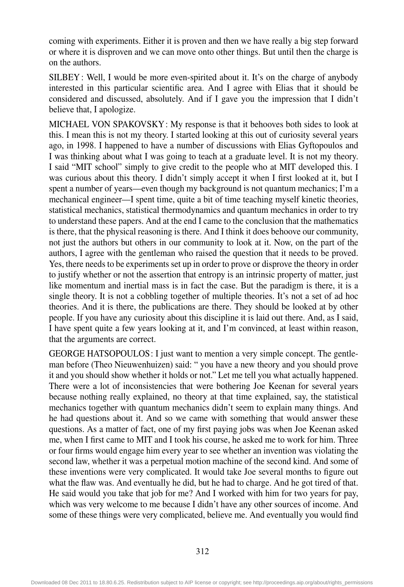coming with experiments. Either it is proven and then we have really a big step forward or where it is disproven and we can move onto other things. But until then the charge is on the authors.

SILBEY : Well, I would be more even-spirited about it. It's on the charge of anybody interested in this particular scientific area. And I agree with Elias that it should be considered and discussed, absolutely. And if I gave you the impression that I didn't believe that, I apologize.

MICHAEL VON SPAKOVSKY: My response is that it behooves both sides to look at this. I mean this is not my theory. I started looking at this out of curiosity several years ago, in 1998. I happened to have a number of discussions with Elias Gyftopoulos and I was thinking about what I was going to teach at a graduate level. It is not my theory. I said "MIT school" simply to give credit to the people who at MIT developed this. I was curious about this theory. I didn't simply accept it when I first looked at it, but I spent a number of years—even though my background is not quantum mechanics; I'm a mechanical engineer—I spent time, quite a bit of time teaching myself kinetic theories, statistical mechanics, statistical thermodynamics and quantum mechanics in order to try to understand these papers. And at the end I came to the conclusion that the mathematics is there, that the physical reasoning is there. And I think it does behoove our community, not just the authors but others in our community to look at it. Now, on the part of the authors, I agree with the gentleman who raised the question that it needs to be proved. Yes, there needs to be experiments set up in order to prove or disprove the theory in order to justify whether or not the assertion that entropy is an intrinsic property of matter, just like momentum and inertial mass is in fact the case. But the paradigm is there, it is a single theory. It is not a cobbling together of multiple theories. It's not a set of ad hoc theories. And it is there, the publications are there. They should be looked at by other people. If you have any curiosity about this discipline it is laid out there. And, as I said, I have spent quite a few years looking at it, and I'm convinced, at least within reason, that the arguments are correct.

GEORGE HATSOPOULOS: I just want to mention a very simple concept. The gentleman before (Theo Nieuwenhuizen) said: " you have a new theory and you should prove it and you should show whether it holds or not." Let me tell you what actually happened. There were a lot of inconsistencies that were bothering Joe Keenan for several years because nothing really explained, no theory at that time explained, say, the statistical mechanics together with quantum mechanics didn't seem to explain many things. And he had questions about it. And so we came with something that would answer these questions. As a matter of fact, one of my first paying jobs was when Joe Keenan asked me, when I first came to MIT and I took his course, he asked me to work for him. Three or four firms would engage him every year to see whether an invention was violating the second law, whether it was a perpetual motion machine of the second kind. And some of these inventions were very complicated. It would take Joe several months to figure out what the flaw was. And eventually he did, but he had to charge. And he got tired of that. He said would you take that job for me? And I worked with him for two years for pay, which was very welcome to me because I didn't have any other sources of income. And some of these things were very complicated, believe me. And eventually you would find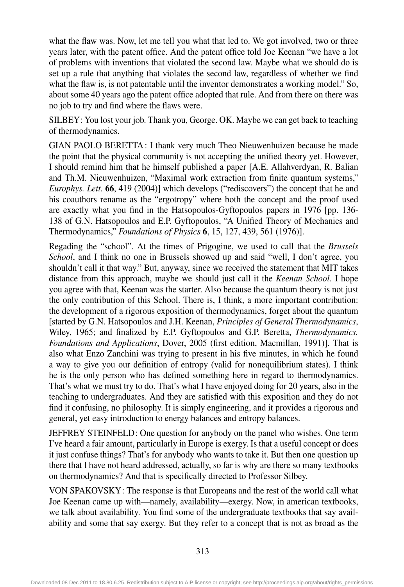what the flaw was. Now, let me tell you what that led to. We got involved, two or three years later, with the patent office. And the patent office told Joe Keenan "we have a lot of problems with inventions that violated the second law. Maybe what we should do is set up a rule that anything that violates the second law, regardless of whether we find what the flaw is, is not patentable until the inventor demonstrates a working model." So, about some 40 years ago the patent office adopted that rule. And from there on there was no job to try and find where the flaws were.

SILBEY: You lost your job. Thank you, George. OK. Maybe we can get back to teaching of thermodynamics.

GIAN PAOLO BERETTA : I thank very much Theo Nieuwenhuizen because he made the point that the physical community is not accepting the unified theory yet. However, I should remind him that he himself published a paper [A.E. Allahverdyan, R. Balian and Th.M. Nieuwenhuizen, "Maximal work extraction from finite quantum systems," *Europhys. Lett.* 66, 419 (2004)] which develops ("rediscovers") the concept that he and his coauthors rename as the "ergotropy" where both the concept and the proof used are exactly what you find in the Hatsopoulos-Gyftopoulos papers in 1976 [pp. 136- 138 of G.N. Hatsopoulos and E.P. Gyftopoulos, "A Unified Theory of Mechanics and Thermodynamics," *Foundations of Physics* 6, 15, 127, 439, 561 (1976)].

Regading the "school". At the times of Prigogine, we used to call that the *Brussels School*, and I think no one in Brussels showed up and said "well, I don't agree, you shouldn't call it that way." But, anyway, since we received the statement that MIT takes distance from this approach, maybe we should just call it the *Keenan School*.Ihope you agree with that, Keenan was the starter. Also because the quantum theory is not just the only contribution of this School. There is, I think, a more important contribution: the development of a rigorous exposition of thermodynamics, forget about the quantum [started by G.N. Hatsopoulos and J.H. Keenan, *Principles of General Thermodynamics*, Wiley, 1965; and finalized by E.P. Gyftopoulos and G.P. Beretta, *Thermodynamics. Foundations and Applications*, Dover, 2005 (first edition, Macmillan, 1991)]. That is also what Enzo Zanchini was trying to present in his five minutes, in which he found a way to give you our definition of entropy (valid for nonequilibrium states). I think he is the only person who has defined something here in regard to thermodynamics. That's what we must try to do. That's what I have enjoyed doing for 20 years, also in the teaching to undergraduates. And they are satisfied with this exposition and they do not find it confusing, no philosophy. It is simply engineering, and it provides a rigorous and general, yet easy introduction to energy balances and entropy balances.

JEFFREY STEINFELD: One question for anybody on the panel who wishes. One term I've heard a fair amount, particularly in Europe is exergy. Is that a useful concept or does it just confuse things? That's for anybody who wants to take it. But then one question up there that I have not heard addressed, actually, so far is why are there so many textbooks on thermodynamics? And that is specifically directed to Professor Silbey.

VON SPAKOVSKY: The response is that Europeans and the rest of the world call what Joe Keenan came up with—namely, availability—exergy. Now, in american textbooks, we talk about availability. You find some of the undergraduate textbooks that say availability and some that say exergy. But they refer to a concept that is not as broad as the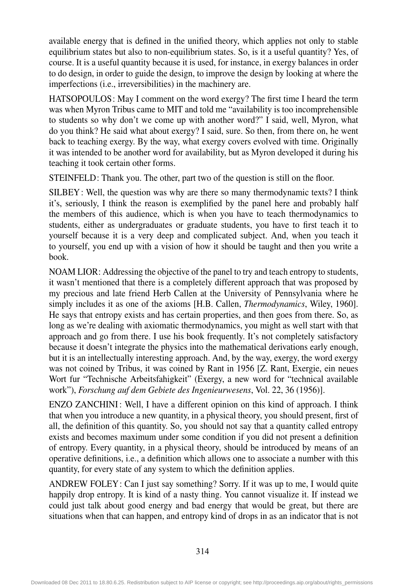available energy that is defined in the unified theory, which applies not only to stable equilibrium states but also to non-equilibrium states. So, is it a useful quantity? Yes, of course. It is a useful quantity because it is used, for instance, in exergy balances in order to do design, in order to guide the design, to improve the design by looking at where the imperfections (i.e., irreversibilities) in the machinery are.

HATSOPOULOS: May I comment on the word exergy? The first time I heard the term was when Myron Tribus came to MIT and told me "availability is too incomprehensible to students so why don't we come up with another word?" I said, well, Myron, what do you think? He said what about exergy? I said, sure. So then, from there on, he went back to teaching exergy. By the way, what exergy covers evolved with time. Originally it was intended to be another word for availability, but as Myron developed it during his teaching it took certain other forms.

STEINFELD: Thank you. The other, part two of the question is still on the floor.

SILBEY: Well, the question was why are there so many thermodynamic texts? I think it's, seriously,Ithink the reason is exemplified by the panel here and probably half the members of this audience, which is when you have to teach thermodynamics to students, either as undergraduates or graduate students, you have to first teach it to yourself because it is a very deep and complicated subject. And, when you teach it to yourself, you end up with a vision of how it should be taught and then you write a book.

NOAM LIOR: Addressing the objective of the panel to try and teach entropy to students, it wasn't mentioned that there is a completely different approach that was proposed by my precious and late friend Herb Callen at the University of Pennsylvania where he simply includes it as one of the axioms [H.B. Callen, *Thermodynamics*, Wiley, 1960]. He says that entropy exists and has certain properties, and then goes from there. So, as long as we're dealing with axiomatic thermodynamics, you might as well start with that approach and go from there. I use his book frequently. It's not completely satisfactory because it doesn't integrate the physics into the mathematical derivations early enough, but it is an intellectually interesting approach. And, by the way, exergy, the word exergy was not coined by Tribus, it was coined by Rant in 1956 [Z. Rant, Exergie, ein neues Wort fur "Technische Arbeitsfahigkeit" (Exergy, a new word for "technical available work"), *Forschung auf dem Gebiete des Ingenieurwesens*, Vol. 22, 36 (1956)].

ENZO ZANCHINI: Well, I have a different opinion on this kind of approach. I think that when you introduce a new quantity, in a physical theory, you should present, first of all, the definition of this quantity. So, you should not say that a quantity called entropy exists and becomes maximum under some condition if you did not present a definition of entropy. Every quantity, in a physical theory, should be introduced by means of an operative definitions, i.e., a definition which allows one to associate a number with this quantity, for every state of any system to which the definition applies.

ANDREW FOLEY: Can I just say something? Sorry. If it was up to me, I would quite happily drop entropy. It is kind of a nasty thing. You cannot visualize it. If instead we could just talk about good energy and bad energy that would be great, but there are situations when that can happen, and entropy kind of drops in as an indicator that is not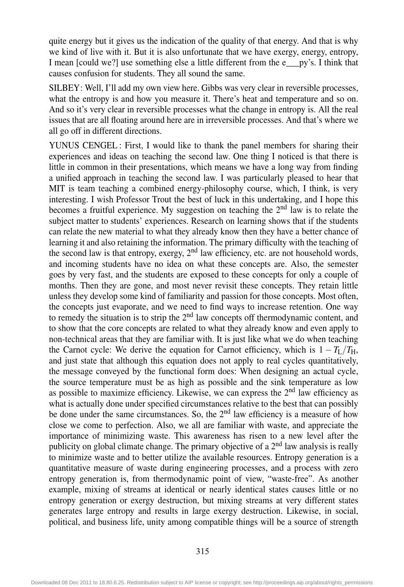quite energy but it gives us the indication of the quality of that energy. And that is why we kind of live with it. But it is also unfortunate that we have exergy, energy, entropy, I mean [could we?] use something else a little different from the e\_\_\_py's. I think that causes confusion for students. They all sound the same.

SILBEY: Well, I'll add my own view here. Gibbs was very clear in reversible processes, what the entropy is and how you measure it. There's heat and temperature and so on. And so it's very clear in reversible processes what the change in entropy is. All the real issues that are all floating around here are in irreversible processes. And that's where we all go off in different directions.

YUNUS CENGEL : First, I would like to thank the panel members for sharing their experiences and ideas on teaching the second law. One thing I noticed is that there is little in common in their presentations, which means we have a long way from finding a unified approach in teaching the second law. I was particularly pleased to hear that MIT is team teaching a combined energy-philosophy course, which, I think, is very interesting. I wish Professor Trout the best of luck in this undertaking, and I hope this becomes a fruitful experience. My suggestion on teaching the  $2<sup>nd</sup>$  law is to relate the subject matter to students' experiences. Research on learning shows that if the students can relate the new material to what they already know then they have a better chance of learning it and also retaining the information. The primary difficulty with the teaching of the second law is that entropy, exergy,  $2<sup>nd</sup>$  law efficiency, etc. are not household words, and incoming students have no idea on what these concepts are. Also, the semester goes by very fast, and the students are exposed to these concepts for only a couple of months. Then they are gone, and most never revisit these concepts. They retain little unless they develop some kind of familiarity and passion for those concepts. Most often, the concepts just evaporate, and we need to find ways to increase retention. One way to remedy the situation is to strip the  $2<sup>nd</sup>$  law concepts off thermodynamic content, and to show that the core concepts are related to what they already know and even apply to non-technical areas that they are familiar with. It is just like what we do when teaching the Carnot cycle: We derive the equation for Carnot efficiency, which is  $1 - T_L/T_H$ , and just state that although this equation does not apply to real cycles quantitatively, the message conveyed by the functional form does: When designing an actual cycle, the source temperature must be as high as possible and the sink temperature as low as possible to maximize efficiency. Likewise, we can express the  $2<sup>nd</sup>$  law efficiency as what is actually done under specified circumstances relative to the best that can possibly be done under the same circumstances. So, the  $2<sup>nd</sup>$  law efficiency is a measure of how close we come to perfection. Also, we all are familiar with waste, and appreciate the importance of minimizing waste. This awareness has risen to a new level after the publicity on global climate change. The primary objective of a  $2<sup>nd</sup>$  law analysis is really to minimize waste and to better utilize the available resources. Entropy generation is a quantitative measure of waste during engineering processes, and a process with zero entropy generation is, from thermodynamic point of view, "waste-free". As another example, mixing of streams at identical or nearly identical states causes little or no entropy generation or exergy destruction, but mixing streams at very different states generates large entropy and results in large exergy destruction. Likewise, in social, political, and business life, unity among compatible things will be a source of strength